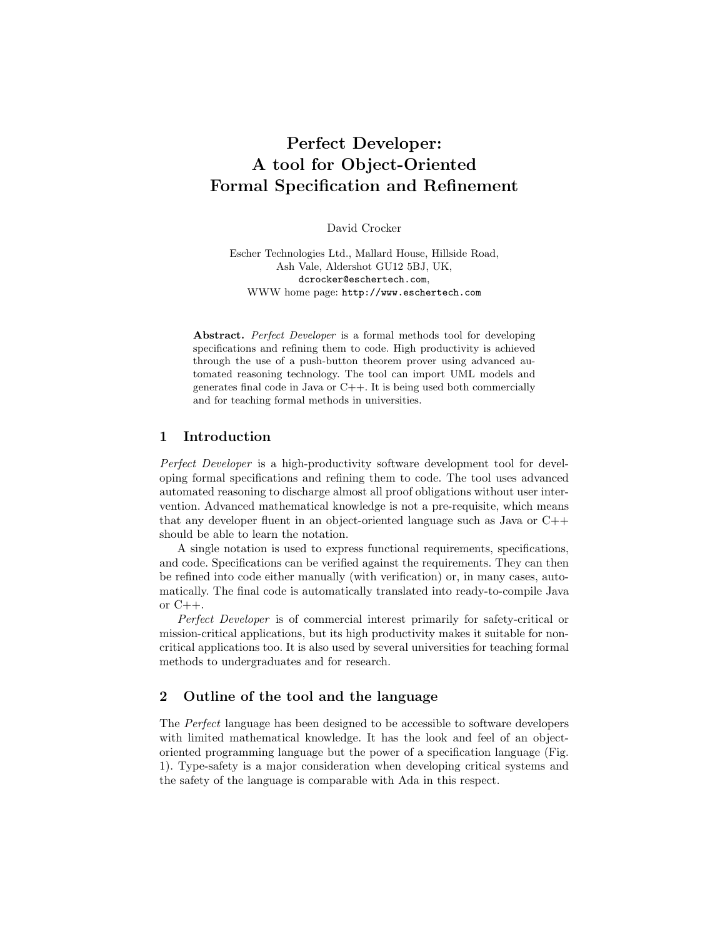# Perfect Developer: A tool for Object-Oriented Formal Specification and Refinement

David Crocker

Escher Technologies Ltd., Mallard House, Hillside Road, Ash Vale, Aldershot GU12 5BJ, UK, dcrocker@eschertech.com, WWW home page: http://www.eschertech.com

Abstract. Perfect Developer is a formal methods tool for developing specifications and refining them to code. High productivity is achieved through the use of a push-button theorem prover using advanced automated reasoning technology. The tool can import UML models and generates final code in Java or C++. It is being used both commercially and for teaching formal methods in universities.

### 1 Introduction

Perfect Developer is a high-productivity software development tool for developing formal specifications and refining them to code. The tool uses advanced automated reasoning to discharge almost all proof obligations without user intervention. Advanced mathematical knowledge is not a pre-requisite, which means that any developer fluent in an object-oriented language such as Java or C++ should be able to learn the notation.

A single notation is used to express functional requirements, specifications, and code. Specifications can be verified against the requirements. They can then be refined into code either manually (with verification) or, in many cases, automatically. The final code is automatically translated into ready-to-compile Java or  $C_{++}$ .

Perfect Developer is of commercial interest primarily for safety-critical or mission-critical applications, but its high productivity makes it suitable for noncritical applications too. It is also used by several universities for teaching formal methods to undergraduates and for research.

# 2 Outline of the tool and the language

The Perfect language has been designed to be accessible to software developers with limited mathematical knowledge. It has the look and feel of an objectoriented programming language but the power of a specification language (Fig. 1). Type-safety is a major consideration when developing critical systems and the safety of the language is comparable with Ada in this respect.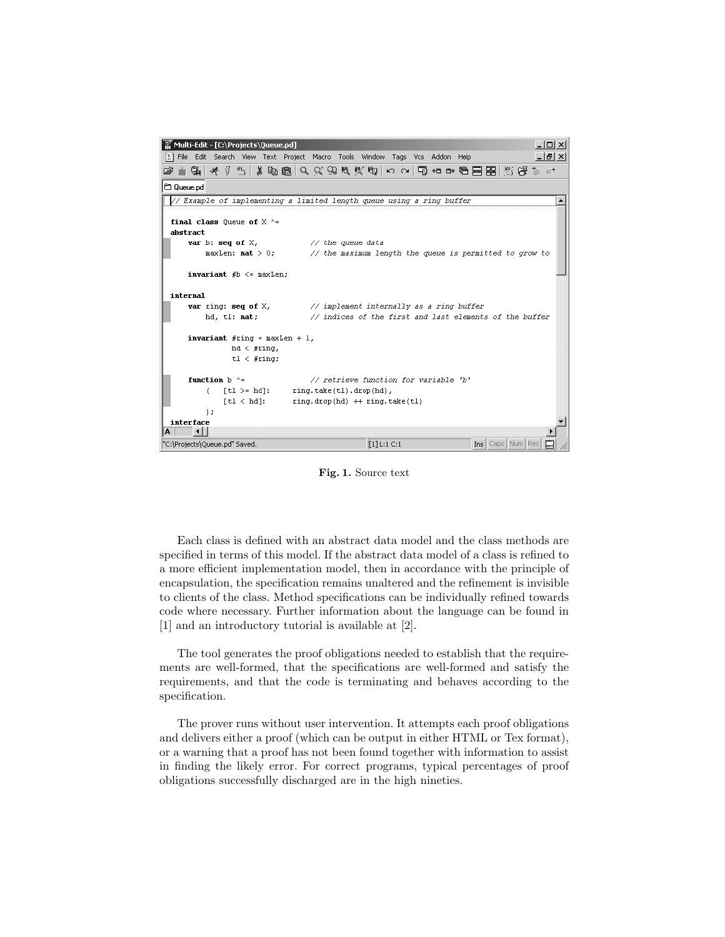| '쫋 Multi-Edit - [C:\Projects\Queue.pd]                                          |                                                                                            |                                       |                        | $ \Box$ $\times$ |
|---------------------------------------------------------------------------------|--------------------------------------------------------------------------------------------|---------------------------------------|------------------------|------------------|
| [2] File Edit Search View Text Project Macro Tools Window Tags Vcs Addon Help   |                                                                                            |                                       |                        | <u>니리지</u>       |
| 主朝 そ∮ 15   3 电8   9 父 9 5 文 5   10 0   13 他 10 18   8   25 19   13 19 10        |                                                                                            |                                       |                        |                  |
| C Queue.pd                                                                      |                                                                                            |                                       |                        |                  |
| // Example of implementing a limited length queue using a ring buffer           |                                                                                            |                                       |                        |                  |
|                                                                                 |                                                                                            |                                       |                        |                  |
| final class Oueue of $X \Leftrightarrow$<br>abstract                            |                                                                                            |                                       |                        |                  |
| <b>var</b> b: seq of $X$ , $\qquad \qquad \frac{1}{2}$ the queue data           |                                                                                            |                                       |                        |                  |
|                                                                                 | maxLen: <b>nat</b> > 0; $\frac{1}{2}$ the maximum length the queue is permitted to grow to |                                       |                        |                  |
|                                                                                 |                                                                                            |                                       |                        |                  |
| <b>invariant</b> $#b \leq m$ maxLen:                                            |                                                                                            |                                       |                        |                  |
| internal                                                                        |                                                                                            |                                       |                        |                  |
| <b>var</b> ring: seq of $X$ , $\qquad$ // implement internally as a ring buffer |                                                                                            |                                       |                        |                  |
| hd, tl: nat;                                                                    | // indices of the first and last elements of the buffer                                    |                                       |                        |                  |
| <b>invariant</b> #ring = maxLen + 1,                                            |                                                                                            |                                       |                        |                  |
| hd < #ring,                                                                     |                                                                                            |                                       |                        |                  |
| tl < #ring;                                                                     |                                                                                            |                                       |                        |                  |
|                                                                                 |                                                                                            |                                       |                        |                  |
| function $h \uparrow$                                                           |                                                                                            | // retrieve function for variable 'b' |                        |                  |
| $\lceil$ tl >= hd]:<br>f.                                                       | ring.take(tl).drop(hd),                                                                    |                                       |                        |                  |
| $\lceil$ tl $\langle$ hd]:                                                      | $ring.drop(hd)$ + $ring.take(t1)$                                                          |                                       |                        |                  |
| 1:                                                                              |                                                                                            |                                       |                        |                  |
| interface                                                                       |                                                                                            |                                       |                        |                  |
| A                                                                               |                                                                                            |                                       |                        |                  |
| "C:\Projects\Queue.pd" Saved.                                                   |                                                                                            | $[1]$ L:1 C:1                         | Ins   Caps   Num   Rec |                  |

Fig. 1. Source text

Each class is defined with an abstract data model and the class methods are specified in terms of this model. If the abstract data model of a class is refined to a more efficient implementation model, then in accordance with the principle of encapsulation, the specification remains unaltered and the refinement is invisible to clients of the class. Method specifications can be individually refined towards code where necessary. Further information about the language can be found in [1] and an introductory tutorial is available at [2].

The tool generates the proof obligations needed to establish that the requirements are well-formed, that the specifications are well-formed and satisfy the requirements, and that the code is terminating and behaves according to the specification.

The prover runs without user intervention. It attempts each proof obligations and delivers either a proof (which can be output in either HTML or Tex format), or a warning that a proof has not been found together with information to assist in finding the likely error. For correct programs, typical percentages of proof obligations successfully discharged are in the high nineties.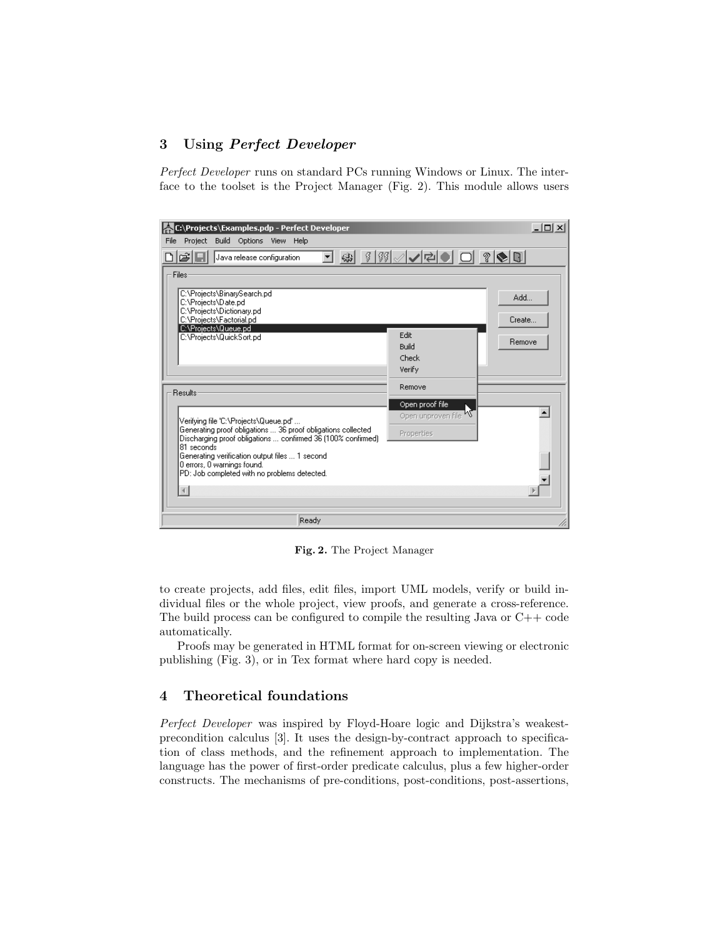# 3 Using Perfect Developer

Perfect Developer runs on standard PCs running Windows or Linux. The interface to the toolset is the Project Manager (Fig. 2). This module allows users

| C:\Projects\Examples.pdp - Perfect Developer<br>File<br>Project Build Options View Help                                                                                                                                                                                     |                                                 | $  $ $\Box$   $\times$ |
|-----------------------------------------------------------------------------------------------------------------------------------------------------------------------------------------------------------------------------------------------------------------------------|-------------------------------------------------|------------------------|
| ciol<br>Java release configuration                                                                                                                                                                                                                                          | ♣ 100 / / / 2 0 0 1 0 1 0 0 0                   |                        |
| Files<br>C:\Projects\BinarySearch.pd<br>C:\Projects\Date.pd<br>C:\Projects\Dictionary.pd<br>C:\Projects\Factorial.pd<br>C:\Projects\Queue.pd                                                                                                                                | Edit                                            | Add<br>Create          |
| C:\Projects\QuickSort.pd                                                                                                                                                                                                                                                    | Build<br>Check<br>Verify                        | Remove                 |
| <b>Results:</b><br>[Verifying file 'C:\Projects\Queue.pd'                                                                                                                                                                                                                   | Remove<br>Open proof file<br>Open unproven file |                        |
| Generating proof obligations  36 proof obligations collected<br>Discharging proof obligations  confirmed 36 (100% confirmed)<br>81 seconds<br>Generating verification output files  1 second<br>0 errors, 0 warnings found.<br>PD: Job completed with no problems detected. | Properties                                      |                        |
| Ready                                                                                                                                                                                                                                                                       |                                                 | /i.                    |

Fig. 2. The Project Manager

to create projects, add files, edit files, import UML models, verify or build individual files or the whole project, view proofs, and generate a cross-reference. The build process can be configured to compile the resulting Java or  $C++$  code automatically.

Proofs may be generated in HTML format for on-screen viewing or electronic publishing (Fig. 3), or in Tex format where hard copy is needed.

# 4 Theoretical foundations

Perfect Developer was inspired by Floyd-Hoare logic and Dijkstra's weakestprecondition calculus [3]. It uses the design-by-contract approach to specification of class methods, and the refinement approach to implementation. The language has the power of first-order predicate calculus, plus a few higher-order constructs. The mechanisms of pre-conditions, post-conditions, post-assertions,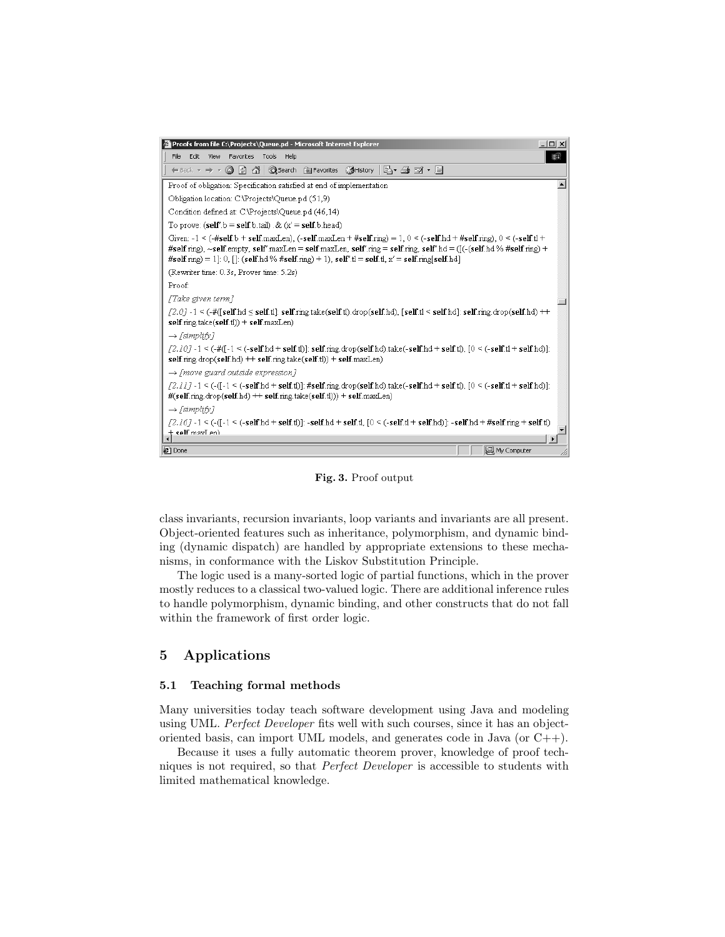

Fig. 3. Proof output

class invariants, recursion invariants, loop variants and invariants are all present. Object-oriented features such as inheritance, polymorphism, and dynamic binding (dynamic dispatch) are handled by appropriate extensions to these mechanisms, in conformance with the Liskov Substitution Principle.

The logic used is a many-sorted logic of partial functions, which in the prover mostly reduces to a classical two-valued logic. There are additional inference rules to handle polymorphism, dynamic binding, and other constructs that do not fall within the framework of first order logic.

## 5 Applications

#### 5.1 Teaching formal methods

Many universities today teach software development using Java and modeling using UML. Perfect Developer fits well with such courses, since it has an objectoriented basis, can import UML models, and generates code in Java (or C++).

Because it uses a fully automatic theorem prover, knowledge of proof techniques is not required, so that Perfect Developer is accessible to students with limited mathematical knowledge.